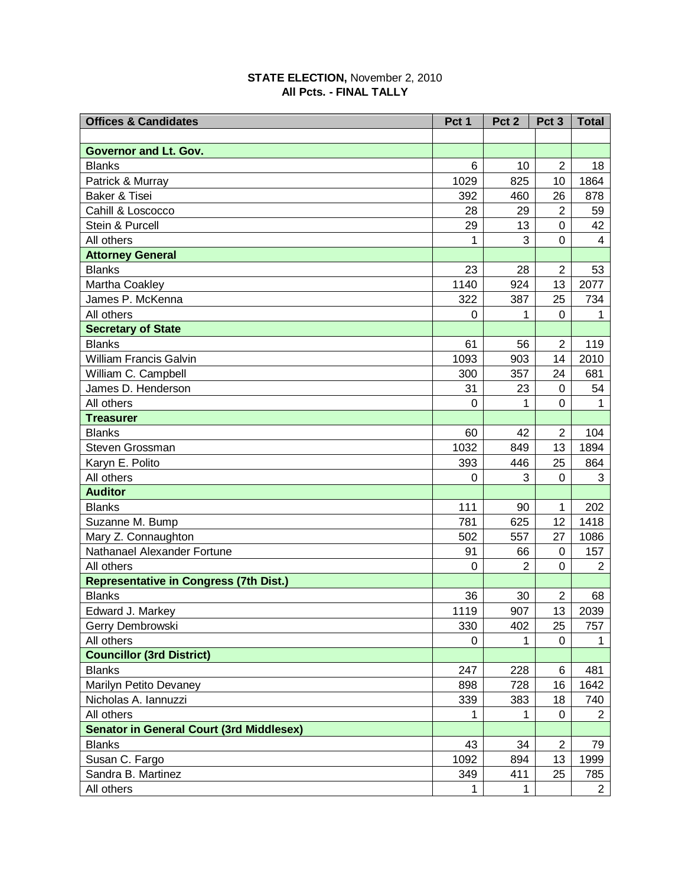## **STATE ELECTION,** November 2, 2010 **All Pcts. - FINAL TALLY**

| <b>Offices &amp; Candidates</b>                 | Pct 1       | Pct <sub>2</sub> | Pct <sub>3</sub> | <b>Total</b>   |
|-------------------------------------------------|-------------|------------------|------------------|----------------|
|                                                 |             |                  |                  |                |
| <b>Governor and Lt. Gov.</b>                    |             |                  |                  |                |
| <b>Blanks</b>                                   | 6           | 10               | $\overline{2}$   | 18             |
| Patrick & Murray                                | 1029        | 825              | 10               | 1864           |
| Baker & Tisei                                   | 392         | 460              | 26               | 878            |
| Cahill & Loscocco                               | 28          | 29               | $\overline{2}$   | 59             |
| Stein & Purcell                                 | 29          | 13               | 0                | 42             |
| All others                                      | 1           | 3                | 0                | 4              |
| <b>Attorney General</b>                         |             |                  |                  |                |
| <b>Blanks</b>                                   | 23          | 28               | $\overline{2}$   | 53             |
| Martha Coakley                                  | 1140        | 924              | 13               | 2077           |
| James P. McKenna                                | 322         | 387              | 25               | 734            |
| All others                                      | 0           | 1                | 0                | 1              |
| <b>Secretary of State</b>                       |             |                  |                  |                |
| <b>Blanks</b>                                   | 61          | 56               | $\overline{2}$   | 119            |
| <b>William Francis Galvin</b>                   | 1093        | 903              | 14               | 2010           |
| William C. Campbell                             | 300         | 357              | 24               | 681            |
| James D. Henderson                              | 31          | 23               | 0                | 54             |
| All others                                      | $\mathbf 0$ | 1                | 0                | 1              |
| <b>Treasurer</b>                                |             |                  |                  |                |
| <b>Blanks</b>                                   | 60          | 42               | $\overline{2}$   | 104            |
| Steven Grossman                                 | 1032        | 849              | 13               | 1894           |
| Karyn E. Polito                                 | 393         | 446              | 25               | 864            |
| All others                                      | 0           | 3                | 0                | 3              |
| <b>Auditor</b>                                  |             |                  |                  |                |
| <b>Blanks</b>                                   | 111         | 90               | 1                | 202            |
| Suzanne M. Bump                                 | 781         | 625              | 12               | 1418           |
| Mary Z. Connaughton                             | 502         | 557              | 27               | 1086           |
| Nathanael Alexander Fortune                     | 91          | 66               | 0                | 157            |
| All others                                      | 0           | $\overline{2}$   | 0                | $\overline{2}$ |
| <b>Representative in Congress (7th Dist.)</b>   |             |                  |                  |                |
| <b>Blanks</b>                                   | 36          | 30               | $\overline{2}$   | 68             |
| Edward J. Markey                                | 1119        | 907              | 13               | 2039           |
| Gerry Dembrowski                                | 330         | 402              | 25               | 757            |
| All others                                      | 0           | 1                | 0                | 1              |
| <b>Councillor (3rd District)</b>                |             |                  |                  |                |
| <b>Blanks</b>                                   | 247         | 228              | 6                | 481            |
| Marilyn Petito Devaney                          | 898         | 728              | 16               | 1642           |
| Nicholas A. Iannuzzi                            | 339         | 383              | 18               | 740            |
| All others                                      | 1           | 1                | 0                | $\overline{2}$ |
| <b>Senator in General Court (3rd Middlesex)</b> |             |                  |                  |                |
| <b>Blanks</b>                                   | 43          | 34               | $\overline{2}$   | 79             |
| Susan C. Fargo                                  | 1092        | 894              | 13               | 1999           |
| Sandra B. Martinez                              | 349         | 411              | 25               | 785            |
| All others                                      | 1           | 1                |                  | $\overline{2}$ |